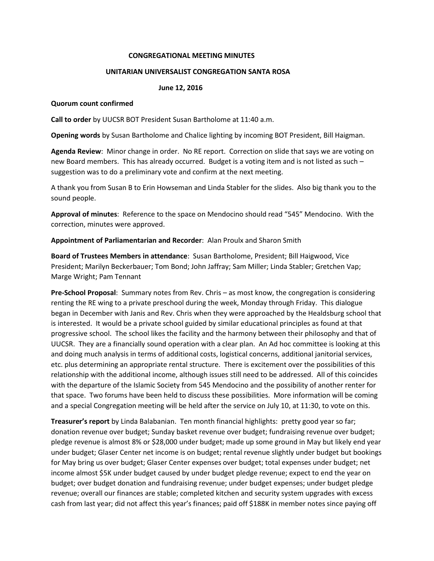#### **CONGREGATIONAL MEETING MINUTES**

#### **UNITARIAN UNIVERSALIST CONGREGATION SANTA ROSA**

### **June 12, 2016**

#### **Quorum count confirmed**

**Call to order** by UUCSR BOT President Susan Bartholome at 11:40 a.m.

**Opening words** by Susan Bartholome and Chalice lighting by incoming BOT President, Bill Haigman.

**Agenda Review**: Minor change in order. No RE report. Correction on slide that says we are voting on new Board members. This has already occurred. Budget is a voting item and is not listed as such – suggestion was to do a preliminary vote and confirm at the next meeting.

A thank you from Susan B to Erin Howseman and Linda Stabler for the slides. Also big thank you to the sound people.

**Approval of minutes**: Reference to the space on Mendocino should read "545" Mendocino. With the correction, minutes were approved.

**Appointment of Parliamentarian and Recorder**: Alan Proulx and Sharon Smith

**Board of Trustees Members in attendance**: Susan Bartholome, President; Bill Haigwood, Vice President; Marilyn Beckerbauer; Tom Bond; John Jaffray; Sam Miller; Linda Stabler; Gretchen Vap; Marge Wright; Pam Tennant

**Pre-School Proposal**: Summary notes from Rev. Chris – as most know, the congregation is considering renting the RE wing to a private preschool during the week, Monday through Friday. This dialogue began in December with Janis and Rev. Chris when they were approached by the Healdsburg school that is interested. It would be a private school guided by similar educational principles as found at that progressive school. The school likes the facility and the harmony between their philosophy and that of UUCSR. They are a financially sound operation with a clear plan. An Ad hoc committee is looking at this and doing much analysis in terms of additional costs, logistical concerns, additional janitorial services, etc. plus determining an appropriate rental structure. There is excitement over the possibilities of this relationship with the additional income, although issues still need to be addressed. All of this coincides with the departure of the Islamic Society from 545 Mendocino and the possibility of another renter for that space. Two forums have been held to discuss these possibilities. More information will be coming and a special Congregation meeting will be held after the service on July 10, at 11:30, to vote on this.

**Treasurer's report** by Linda Balabanian. Ten month financial highlights: pretty good year so far; donation revenue over budget; Sunday basket revenue over budget; fundraising revenue over budget; pledge revenue is almost 8% or \$28,000 under budget; made up some ground in May but likely end year under budget; Glaser Center net income is on budget; rental revenue slightly under budget but bookings for May bring us over budget; Glaser Center expenses over budget; total expenses under budget; net income almost \$5K under budget caused by under budget pledge revenue; expect to end the year on budget; over budget donation and fundraising revenue; under budget expenses; under budget pledge revenue; overall our finances are stable; completed kitchen and security system upgrades with excess cash from last year; did not affect this year's finances; paid off \$188K in member notes since paying off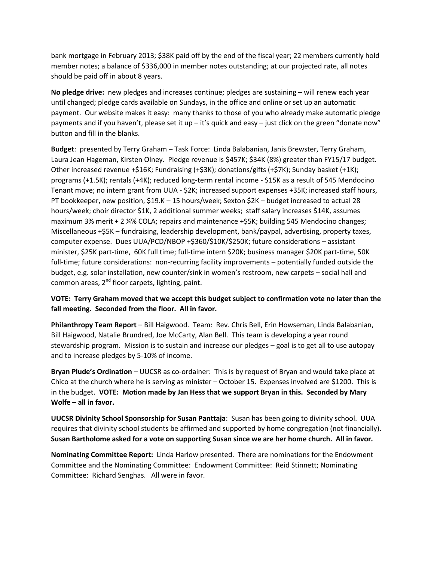bank mortgage in February 2013; \$38K paid off by the end of the fiscal year; 22 members currently hold member notes; a balance of \$336,000 in member notes outstanding; at our projected rate, all notes should be paid off in about 8 years.

**No pledge drive:** new pledges and increases continue; pledges are sustaining – will renew each year until changed; pledge cards available on Sundays, in the office and online or set up an automatic payment. Our website makes it easy: many thanks to those of you who already make automatic pledge payments and if you haven't, please set it up – it's quick and easy – just click on the green "donate now" button and fill in the blanks.

**Budget**: presented by Terry Graham – Task Force: Linda Balabanian, Janis Brewster, Terry Graham, Laura Jean Hageman, Kirsten Olney. Pledge revenue is \$457K; \$34K (8%) greater than FY15/17 budget. Other increased revenue +\$16K; Fundraising (+\$3K); donations/gifts (+\$7K); Sunday basket (+1K); programs (+1.5K); rentals (+4K); reduced long-term rental income - \$15K as a result of 545 Mendocino Tenant move; no intern grant from UUA - \$2K; increased support expenses +35K; increased staff hours, PT bookkeeper, new position, \$19.K – 15 hours/week; Sexton \$2K – budget increased to actual 28 hours/week; choir director \$1K, 2 additional summer weeks; staff salary increases \$14K, assumes maximum 3% merit + 2 ¼% COLA; repairs and maintenance +\$5K; building 545 Mendocino changes; Miscellaneous +\$5K – fundraising, leadership development, bank/paypal, advertising, property taxes, computer expense. Dues UUA/PCD/NBOP +\$360/\$10K/\$250K; future considerations – assistant minister, \$25K part-time, 60K full time; full-time intern \$20K; business manager \$20K part-time, 50K full-time; future considerations: non-recurring facility improvements – potentially funded outside the budget, e.g. solar installation, new counter/sink in women's restroom, new carpets – social hall and common areas,  $2^{nd}$  floor carpets, lighting, paint.

**VOTE: Terry Graham moved that we accept this budget subject to confirmation vote no later than the fall meeting. Seconded from the floor. All in favor.**

**Philanthropy Team Report** – Bill Haigwood. Team: Rev. Chris Bell, Erin Howseman, Linda Balabanian, Bill Haigwood, Natalie Brundred, Joe McCarty, Alan Bell. This team is developing a year round stewardship program. Mission is to sustain and increase our pledges – goal is to get all to use autopay and to increase pledges by 5-10% of income.

**Bryan Plude's Ordination** – UUCSR as co-ordainer: This is by request of Bryan and would take place at Chico at the church where he is serving as minister – October 15. Expenses involved are \$1200. This is in the budget. **VOTE: Motion made by Jan Hess that we support Bryan in this. Seconded by Mary Wolfe – all in favor.**

**UUCSR Divinity School Sponsorship for Susan Panttaja**: Susan has been going to divinity school. UUA requires that divinity school students be affirmed and supported by home congregation (not financially). **Susan Bartholome asked for a vote on supporting Susan since we are her home church. All in favor.**

**Nominating Committee Report:** Linda Harlow presented. There are nominations for the Endowment Committee and the Nominating Committee: Endowment Committee: Reid Stinnett; Nominating Committee: Richard Senghas. All were in favor.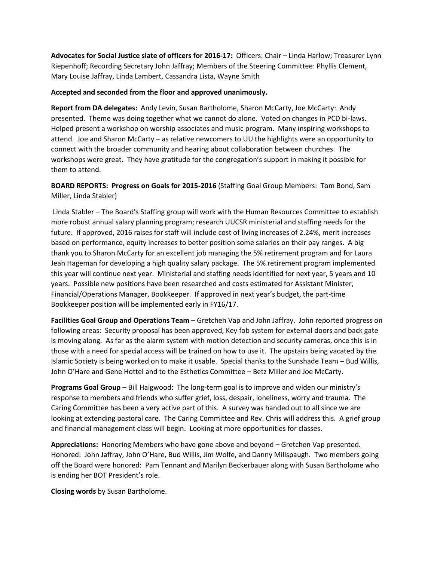**Advocates for Social Justice slate of officers for 2016-17:** Officers: Chair – Linda Harlow; Treasurer Lynn Riepenhoff; Recording Secretary John Jaffray; Members of the Steering Committee: Phyllis Clement, Mary Louise Jaffray, Linda Lambert, Cassandra Lista, Wayne Smith

## **Accepted and seconded from the floor and approved unanimously.**

**Report from DA delegates:** Andy Levin, Susan Bartholome, Sharon McCarty, Joe McCarty: Andy presented. Theme was doing together what we cannot do alone. Voted on changes in PCD bi-laws. Helped present a workshop on worship associates and music program. Many inspiring workshops to attend. Joe and Sharon McCarty – as relative newcomers to UU the highlights were an opportunity to connect with the broader community and hearing about collaboration between churches. The workshops were great. They have gratitude for the congregation's support in making it possible for them to attend.

# **BOARD REPORTS: Progress on Goals for 2015-2016** (Staffing Goal Group Members: Tom Bond, Sam Miller, Linda Stabler)

Linda Stabler – The Board's Staffing group will work with the Human Resources Committee to establish more robust annual salary planning program; research UUCSR ministerial and staffing needs for the future. If approved, 2016 raises for staff will include cost of living increases of 2.24%, merit increases based on performance, equity increases to better position some salaries on their pay ranges. A big thank you to Sharon McCarty for an excellent job managing the 5% retirement program and for Laura Jean Hageman for developing a high quality salary package. The 5% retirement program implemented this year will continue next year. Ministerial and staffing needs identified for next year, 5 years and 10 years. Possible new positions have been researched and costs estimated for Assistant Minister, Financial/Operations Manager, Bookkeeper. If approved in next year's budget, the part-time Bookkeeper position will be implemented early in FY16/17.

**Facilities Goal Group and Operations Team** – Gretchen Vap and John Jaffray. John reported progress on following areas: Security proposal has been approved, Key fob system for external doors and back gate is moving along. As far as the alarm system with motion detection and security cameras, once this is in those with a need for special access will be trained on how to use it. The upstairs being vacated by the Islamic Society is being worked on to make it usable. Special thanks to the Sunshade Team – Bud Willis, John O'Hare and Gene Hottel and to the Esthetics Committee – Betz Miller and Joe McCarty.

**Programs Goal Group** – Bill Haigwood: The long-term goal is to improve and widen our ministry's response to members and friends who suffer grief, loss, despair, loneliness, worry and trauma. The Caring Committee has been a very active part of this. A survey was handed out to all since we are looking at extending pastoral care. The Caring Committee and Rev. Chris will address this. A grief group and financial management class will begin. Looking at more opportunities for classes.

**Appreciations:** Honoring Members who have gone above and beyond – Gretchen Vap presented. Honored: John Jaffray, John O'Hare, Bud Willis, Jim Wolfe, and Danny Millspaugh. Two members going off the Board were honored: Pam Tennant and Marilyn Beckerbauer along with Susan Bartholome who is ending her BOT President's role.

**Closing words** by Susan Bartholome.